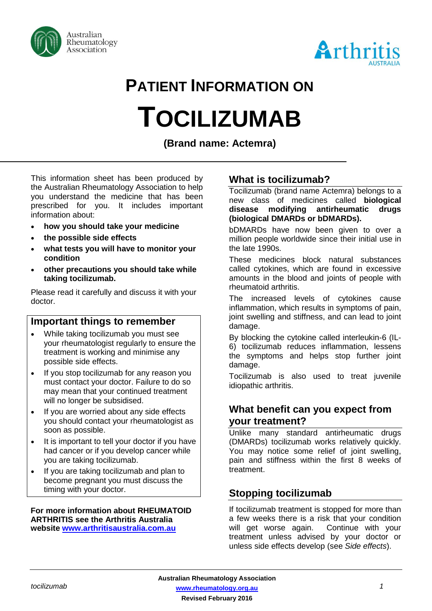



# **PATIENT INFORMATION ON TOCILIZUMAB**

**(Brand name: Actemra)**

This information sheet has been produced by the Australian Rheumatology Association to help you understand the medicine that has been prescribed for you. It includes important information about:

- **how you should take your medicine**
- **the possible side effects**
- **what tests you will have to monitor your condition**
- **other precautions you should take while taking tocilizumab.**

Please read it carefully and discuss it with your doctor.

## **Important things to remember**

- While taking tocilizumab you must see your rheumatologist regularly to ensure the treatment is working and minimise any possible side effects.
- If you stop tocilizumab for any reason you must contact your doctor. Failure to do so may mean that your continued treatment will no longer be subsidised.
- If you are worried about any side effects you should contact your rheumatologist as soon as possible.
- It is important to tell your doctor if you have had cancer or if you develop cancer while you are taking tocilizumab.
- If you are taking tocilizumab and plan to become pregnant you must discuss the timing with your doctor.

**For more information about RHEUMATOID ARTHRITIS see the Arthritis Australia website [www.arthritisaustralia.com.au](http://www.arthritisaustralia.com.au/)**

# **What is tocilizumab?**

Tocilizumab (brand name Actemra) belongs to a new class of medicines called **biological disease modifying antirheumatic drugs (biological DMARDs or bDMARDs).** 

bDMARDs have now been given to over a million people worldwide since their initial use in the late 1990s.

These medicines block natural substances called cytokines, which are found in excessive amounts in the blood and joints of people with rheumatoid arthritis.

The increased levels of cytokines cause inflammation, which results in symptoms of pain, joint swelling and stiffness, and can lead to joint damage.

By blocking the cytokine called interleukin-6 (IL-6) tocilizumab reduces inflammation, lessens the symptoms and helps stop further joint damage.

Tocilizumab is also used to treat juvenile idiopathic arthritis.

## **What benefit can you expect from your treatment?**

Unlike many standard antirheumatic drugs (DMARDs) tocilizumab works relatively quickly. You may notice some relief of joint swelling, pain and stiffness within the first 8 weeks of treatment.

# **Stopping tocilizumab**

If tocilizumab treatment is stopped for more than a few weeks there is a risk that your condition will get worse again. Continue with your treatment unless advised by your doctor or unless side effects develop (see *Side effects*).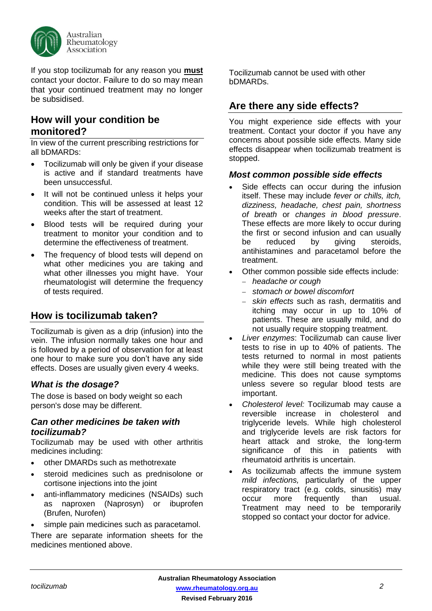

If you stop tocilizumab for any reason you **must** contact your doctor. Failure to do so may mean that your continued treatment may no longer be subsidised.

## **How will your condition be monitored?**

In view of the current prescribing restrictions for all bDMARDs:

- Tocilizumab will only be given if your disease is active and if standard treatments have been unsuccessful.
- It will not be continued unless it helps your condition. This will be assessed at least 12 weeks after the start of treatment.
- Blood tests will be required during your treatment to monitor your condition and to determine the effectiveness of treatment.
- The frequency of blood tests will depend on what other medicines you are taking and what other illnesses you might have. Your rheumatologist will determine the frequency of tests required.

# **How is tocilizumab taken?**

Tocilizumab is given as a drip (infusion) into the vein. The infusion normally takes one hour and is followed by a period of observation for at least one hour to make sure you don't have any side effects. Doses are usually given every 4 weeks.

#### *What is the dosage?*

The dose is based on body weight so each person's dose may be different.

#### *Can other medicines be taken with tocilizumab?*

Tocilizumab may be used with other arthritis medicines including:

- other DMARDs such as methotrexate
- steroid medicines such as prednisolone or cortisone injections into the joint
- anti-inflammatory medicines (NSAIDs) such as naproxen (Naprosyn) or ibuprofen (Brufen, Nurofen)
- simple pain medicines such as paracetamol.

There are separate information sheets for the medicines mentioned above.

Tocilizumab cannot be used with other bDMARDs.

# **Are there any side effects?**

You might experience side effects with your treatment. Contact your doctor if you have any concerns about possible side effects. Many side effects disappear when tocilizumab treatment is stopped.

#### *Most common possible side effects*

- Side effects can occur during the infusion itself. These may include *fever or chills, itch, dizziness, headache, chest pain, shortness of breath* or *changes in blood pressure*. These effects are more likely to occur during the first or second infusion and can usually be reduced by giving steroids, antihistamines and paracetamol before the treatment.
- Other common possible side effects include:
	- *headache or cough*
	- *stomach or bowel discomfort*
	- *skin effects* such as rash, dermatitis and itching may occur in up to 10% of patients. These are usually mild, and do not usually require stopping treatment.
- *Liver enzymes*: Tocilizumab can cause liver tests to rise in up to 40% of patients. The tests returned to normal in most patients while they were still being treated with the medicine. This does not cause symptoms unless severe so regular blood tests are important.
- *Cholesterol level:* Tocilizumab may cause a reversible increase in cholesterol and triglyceride levels. While high cholesterol and triglyceride levels are risk factors for heart attack and stroke, the long-term significance of this in patients with rheumatoid arthritis is uncertain.
- As tocilizumab affects the immune system *mild infections,* particularly of the upper respiratory tract (e.g. colds, sinusitis) may occur more frequently than usual. Treatment may need to be temporarily stopped so contact your doctor for advice.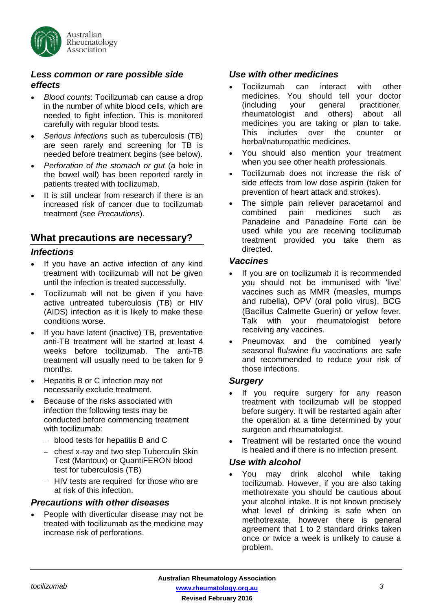

#### *Less common or rare possible side effects*

- *Blood counts*: Tocilizumab can cause a drop in the number of white blood cells, which are needed to fight infection. This is monitored carefully with regular blood tests.
- *Serious infections* such as tuberculosis (TB) are seen rarely and screening for TB is needed before treatment begins (see below).
- *Perforation of the stomach or gut* (a hole in the bowel wall) has been reported rarely in patients treated with tocilizumab.
- It is still unclear from research if there is an increased risk of cancer due to tocilizumab treatment (see *Precautions*).

## **What precautions are necessary?**

#### *Infections*

- If you have an active infection of any kind treatment with tocilizumab will not be given until the infection is treated successfully.
- Tocilizumab will not be given if you have active untreated tuberculosis (TB) or HIV (AIDS) infection as it is likely to make these conditions worse.
- If you have latent (inactive) TB, preventative anti-TB treatment will be started at least 4 weeks before tocilizumab. The anti-TB treatment will usually need to be taken for 9 months.
- Hepatitis B or C infection may not necessarily exclude treatment.
- Because of the risks associated with infection the following tests may be conducted before commencing treatment with tocilizumab:
	- blood tests for hepatitis B and C
	- chest x-ray and two step Tuberculin Skin Test (Mantoux) or QuantiFERON blood test for tuberculosis (TB)
	- HIV tests are required for those who are at risk of this infection.

#### *Precautions with other diseases*

People with diverticular disease may not be treated with tocilizumab as the medicine may increase risk of perforations.

## *Use with other medicines*

- Tocilizumab can interact with other medicines. You should tell your doctor (including your general practitioner, rheumatologist and others) about all medicines you are taking or plan to take. This includes over the counter or herbal/naturopathic medicines.
- You should also mention your treatment when you see other health professionals.
- Tocilizumab does not increase the risk of side effects from low dose aspirin (taken for prevention of heart attack and strokes).
- The simple pain reliever paracetamol and combined pain medicines such as Panadeine and Panadeine Forte can be used while you are receiving tocilizumab treatment provided you take them as directed.

#### *Vaccines*

- If you are on tocilizumab it is recommended you should not be immunised with 'live' vaccines such as MMR (measles, mumps and rubella), OPV (oral polio virus), BCG (Bacillus Calmette Guerin) or yellow fever. Talk with your rheumatologist before receiving any vaccines.
- Pneumovax and the combined yearly seasonal flu/swine flu vaccinations are safe and recommended to reduce your risk of those infections.

#### *Surgery*

- If you require surgery for any reason treatment with tocilizumab will be stopped before surgery. It will be restarted again after the operation at a time determined by your surgeon and rheumatologist.
- Treatment will be restarted once the wound is healed and if there is no infection present.

#### *Use with alcohol*

• You may drink alcohol while taking tocilizumab. However, if you are also taking methotrexate you should be cautious about your alcohol intake. It is not known precisely what level of drinking is safe when on methotrexate, however there is general agreement that 1 to 2 standard drinks taken once or twice a week is unlikely to cause a problem.